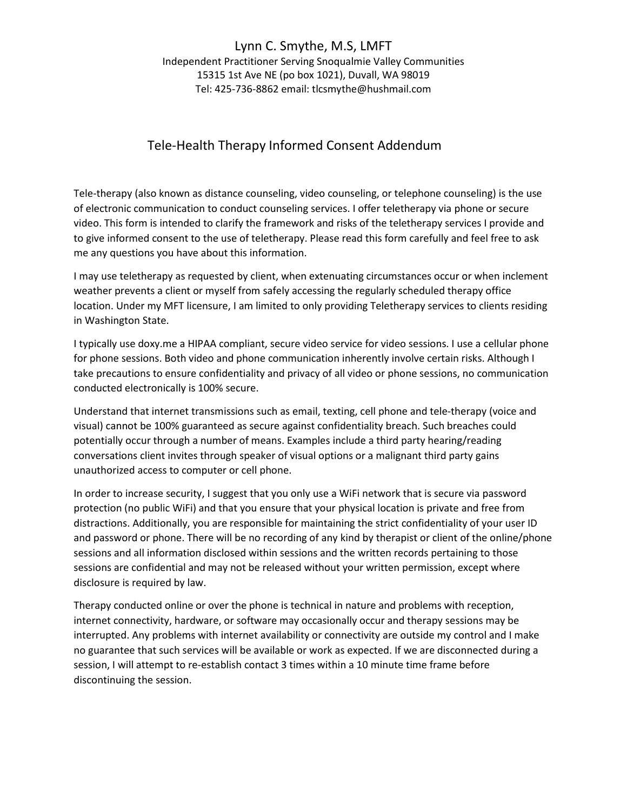## Lynn C. Smythe, M.S, LMFT

Independent Practitioner Serving Snoqualmie Valley Communities 15315 1st Ave NE (po box 1021), Duvall, WA 98019 Tel: 425-736-8862 email: tlcsmythe@hushmail.com

## Tele-Health Therapy Informed Consent Addendum

Tele-therapy (also known as distance counseling, video counseling, or telephone counseling) is the use of electronic communication to conduct counseling services. I offer teletherapy via phone or secure video. This form is intended to clarify the framework and risks of the teletherapy services I provide and to give informed consent to the use of teletherapy. Please read this form carefully and feel free to ask me any questions you have about this information.

I may use teletherapy as requested by client, when extenuating circumstances occur or when inclement weather prevents a client or myself from safely accessing the regularly scheduled therapy office location. Under my MFT licensure, I am limited to only providing Teletherapy services to clients residing in Washington State.

I typically use doxy.me a HIPAA compliant, secure video service for video sessions. I use a cellular phone for phone sessions. Both video and phone communication inherently involve certain risks. Although I take precautions to ensure confidentiality and privacy of all video or phone sessions, no communication conducted electronically is 100% secure.

Understand that internet transmissions such as email, texting, cell phone and tele-therapy (voice and visual) cannot be 100% guaranteed as secure against confidentiality breach. Such breaches could potentially occur through a number of means. Examples include a third party hearing/reading conversations client invites through speaker of visual options or a malignant third party gains unauthorized access to computer or cell phone.

In order to increase security, I suggest that you only use a WiFi network that is secure via password protection (no public WiFi) and that you ensure that your physical location is private and free from distractions. Additionally, you are responsible for maintaining the strict confidentiality of your user ID and password or phone. There will be no recording of any kind by therapist or client of the online/phone sessions and all information disclosed within sessions and the written records pertaining to those sessions are confidential and may not be released without your written permission, except where disclosure is required by law.

Therapy conducted online or over the phone is technical in nature and problems with reception, internet connectivity, hardware, or software may occasionally occur and therapy sessions may be interrupted. Any problems with internet availability or connectivity are outside my control and I make no guarantee that such services will be available or work as expected. If we are disconnected during a session, I will attempt to re-establish contact 3 times within a 10 minute time frame before discontinuing the session.